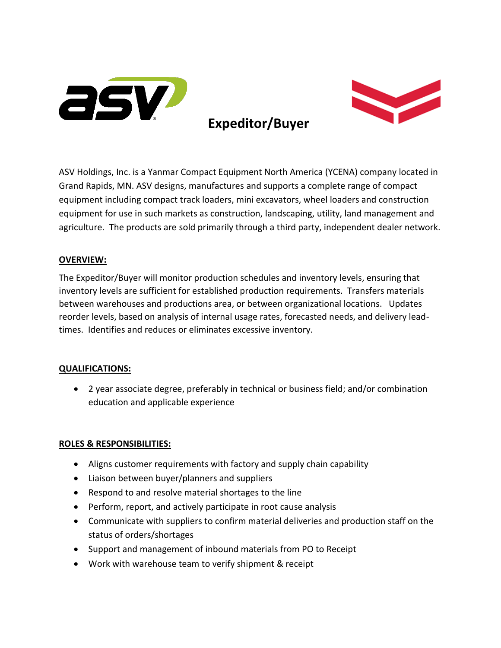

# **Expeditor/Buyer**



ASV Holdings, Inc. is a Yanmar Compact Equipment North America (YCENA) company located in Grand Rapids, MN. ASV designs, manufactures and supports a complete range of compact equipment including compact track loaders, mini excavators, wheel loaders and construction equipment for use in such markets as construction, landscaping, utility, land management and agriculture. The products are sold primarily through a third party, independent dealer network.

### **OVERVIEW:**

The Expeditor/Buyer will monitor production schedules and inventory levels, ensuring that inventory levels are sufficient for established production requirements. Transfers materials between warehouses and productions area, or between organizational locations. Updates reorder levels, based on analysis of internal usage rates, forecasted needs, and delivery leadtimes. Identifies and reduces or eliminates excessive inventory.

#### **QUALIFICATIONS:**

• 2 year associate degree, preferably in technical or business field; and/or combination education and applicable experience

#### **ROLES & RESPONSIBILITIES:**

- Aligns customer requirements with factory and supply chain capability
- Liaison between buyer/planners and suppliers
- Respond to and resolve material shortages to the line
- Perform, report, and actively participate in root cause analysis
- Communicate with suppliers to confirm material deliveries and production staff on the status of orders/shortages
- Support and management of inbound materials from PO to Receipt
- Work with warehouse team to verify shipment & receipt